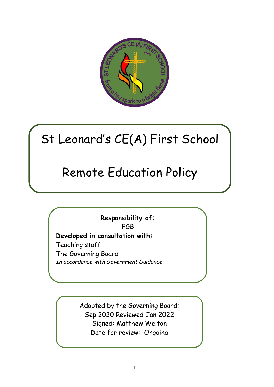

# St Leonard's CE(A) First School

# **St. Leonard's CE (VA) First School** Remote Education Policy

**Responsibility of:** FGB **Developed in consultation with:** Teaching staff The Governing Board *In accordance with Government Guidance* 

> Adopted by the Governing Board: Sep 2020 Reviewed Jan 2022 Signed: Matthew Welton Date for review: Ongoing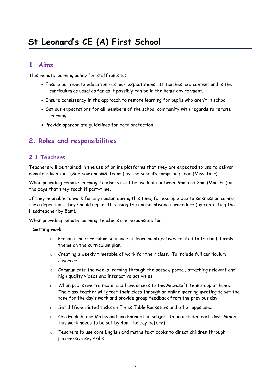# **1. Aims**

This remote learning policy for staff aims to:

- Ensure our remote education has high expectations. It teaches new content and is the curriculum as usual as far as it possibly can be in the home environment.
- Ensure consistency in the approach to remote learning for pupils who aren't in school
- Set out expectations for all members of the school community with regards to remote learning
- Provide appropriate guidelines for data protection

# **2. Roles and responsibilities**

#### **2.1 Teachers**

Teachers will be trained in the use of online platforms that they are expected to use to deliver remote education. (See-saw and MS Teams) by the school's computing Lead (Miss Torr).

When providing remote learning, teachers must be available between 9am and 3pm (Mon-Fri) or the days that they teach if part-time.

If they're unable to work for any reason during this time, for example due to sickness or caring for a dependent, they should report this using the normal absence procedure (by contacting the Headteacher by 8am).

When providing remote learning, teachers are responsible for:

#### **Setting work**

- o Prepare the curriculum sequence of learning objectives related to the half termly theme on the curriculum plan.
- o Creating a weekly timetable of work for their class. To include full curriculum coverage.
- o Communicate the weeks learning through the seesaw portal, attaching relevant and high quality videos and interactive activities.
- o When pupils are trained in and have access to the Microsoft Teams app at home. The class teacher will greet their class through an online morning meeting to set the tone for the day's work and provide group feedback from the previous day.
- o Set differentiated tasks on Times Table Rockstars and other apps used.
- o One English, one Maths and one Foundation subject to be included each day. When this work needs to be set by 4pm the day before)
- o Teachers to use core English and maths text books to direct children through progressive key skills.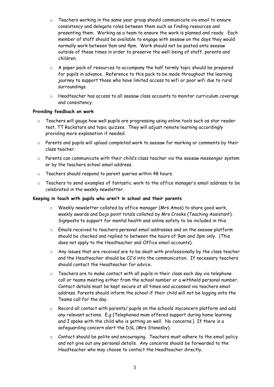- o Teachers working in the same year group should communicate via email to ensure consistency and delegate roles between them such as finding resources and presenting them. Working as a team to ensure the work is planned and ready. Each member of staff should be available to engage with seesaw on the days they would normally work between 9am and 4pm. Work should not be posted onto seesaw outside of these times in order to preserve the well-being of staff, parents and children.
- o A paper pack of resources to accompany the half termly topic should be prepared for pupils in advance. Reference to this pack to be made throughout the learning journey to support those who have limited access to wifi or poor wifi due to rural surroundings.
- o Headteacher has access to all seesaw class accounts to monitor curriculum coverage and consistency.

#### **Providing feedback on work**

- o Teachers will gauge how well pupils are progressing using online tools such as star reader test, TT Rockstars and topic quizzes. They will adjust remote learning accordingly providing more explanation if needed.
- o Parents and pupils will upload completed work to seesaw for marking or comments by their class teacher.
- o Parents can communicate with their child's class teacher via the seesaw messenger system or by the teachers school email address.
- o Teachers should respond to parent queries within 48 hours.
- o Teachers to send examples of fantastic work to the office manager's email address to be celebrated in the weekly newsletter.

#### **Keeping in touch with pupils who aren't in school and their parents**

- o Weekly newsletter collated by office manager (Mrs Amos) to share good work, weekly awards and Dojo point totals collated by Mrs Crooks (Teaching Assistant). Signposts to support for mental health and online safety to be included in this.
- o Emails received to teachers personal email addresses and on the seesaw platform should be checked and replied to between the hours of 9am and 3pm only. (This does not apply to the Headteacher and Office email accounts).
- o Any issues that are received are to be dealt with professionally by the class teacher and the Headteacher should be CC'd into the communication. If necessary teachers should contact the Headteacher for advice.
- o Teachers are to make contact with all pupils in their class each day via telephone call or teams meeting either from the school number or a withheld personal number. Contact details must be kept secure at all times and accessed via teachers email address. Parents should inform the school if their child will not be logging onto the Teams call for the day.
- o Record all contact with parents/ pupils on the schools' myconcern platform and add any relevant actions. E.g (Telephoned mum offered support during home learning and I spoke with the child who is getting on well. No concerns.) If there is a safeguarding concern alert the DSL (Mrs Stanesby).
- o Contact should be polite and encouraging. Teachers must adhere to the email policy and not give out any personal details. Any concerns should be forwarded to the Headteacher who may choose to contact the Headteacher directly.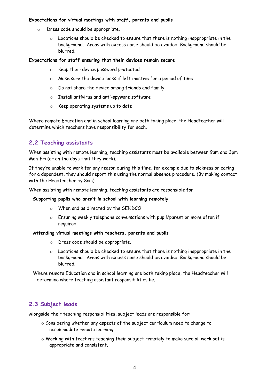#### **Expectations for virtual meetings with staff, parents and pupils**

- o Dress code should be appropriate.
	- $\circ$  Locations should be checked to ensure that there is nothing inappropriate in the background. Areas with excess noise should be avoided. Background should be blurred.

#### **Expectations for staff ensuring that their devices remain secure**

- o Keep their device password protected
- o Make sure the device locks if left inactive for a period of time
- o Do not share the device among friends and family
- o Install antivirus and anti-spyware software
- o Keep operating systems up to date

Where remote Education and in school learning are both taking place, the Headteacher will determine which teachers have responsibility for each.

# **2.2 Teaching assistants**

When assisting with remote learning, teaching assistants must be available between 9am and 3pm Mon-Fri (or on the days that they work).

If they're unable to work for any reason during this time, for example due to sickness or caring for a dependent, they should report this using the normal absence procedure. (By making contact with the Headteacher by 8am).

When assisting with remote learning, teaching assistants are responsible for:

#### **Supporting pupils who aren't in school with learning remotely**

- o When and as directed by the SENDCO
- o Ensuring weekly telephone conversations with pupil/parent or more often if required.

#### **Attending virtual meetings with teachers, parents and pupils**

- o Dress code should be appropriate.
- $\circ$  Locations should be checked to ensure that there is nothing inappropriate in the background. Areas with excess noise should be avoided. Background should be blurred.

Where remote Education and in school learning are both taking place, the Headteacher will determine where teaching assistant responsibilities lie.

# **2.3 Subject leads**

Alongside their teaching responsibilities, subject leads are responsible for:

- o Considering whether any aspects of the subject curriculum need to change to accommodate remote learning.
- o Working with teachers teaching their subject remotely to make sure all work set is appropriate and consistent.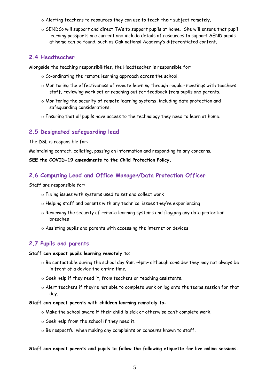- o Alerting teachers to resources they can use to teach their subject remotely.
- o SENDCo will support and direct TA's to support pupils at home. She will ensure that pupil learning passports are current and include details of resources to support SEND pupils at home can be found, such as Oak national Academy's differentiated content.

#### **2.4 Headteacher**

Alongside the teaching responsibilities, the Headteacher is responsible for:

- o Co-ordinating the remote learning approach across the school.
- o Monitoring the effectiveness of remote learning through regular meetings with teachers staff, reviewing work set or reaching out for feedback from pupils and parents.
- o Monitoring the security of remote learning systems, including data protection and safeguarding considerations.
- o Ensuring that all pupils have access to the technology they need to learn at home.

# **2.5 Designated safeguarding lead**

The DSL is responsible for:

Maintaining contact, collating, passing on information and responding to any concerns.

**SEE the COVID-19 amendments to the Child Protection Policy.** 

#### **2.6 Computing Lead and Office Manager/Data Protection Officer**

Staff are responsible for:

- o Fixing issues with systems used to set and collect work
- o Helping staff and parents with any technical issues they're experiencing
- o Reviewing the security of remote learning systems and flagging any data protection breaches
- o Assisting pupils and parents with accessing the internet or devices

# **2.7 Pupils and parents**

#### **Staff can expect pupils learning remotely to:**

- o Be contactable during the school day 9am -4pm– although consider they may not always be in front of a device the entire time.
- o Seek help if they need it, from teachers or teaching assistants.
- o Alert teachers if they're not able to complete work or log onto the teams session for that day.

#### **Staff can expect parents with children learning remotely to:**

- o Make the school aware if their child is sick or otherwise can't complete work.
- o Seek help from the school if they need it.
- o Be respectful when making any complaints or concerns known to staff.

#### **Staff can expect parents and pupils to follow the following etiquette for live online sessions.**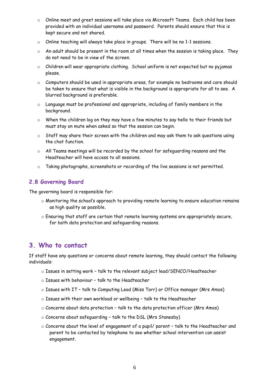- o Online meet and greet sessions will take place via Microsoft Teams. Each child has been provided with an individual username and password. Parents should ensure that this is kept secure and not shared.
- o Online teaching will always take place in groups. There will be no 1-1 sessions.
- o An adult should be present in the room at all times when the session is taking place. They do not need to be in view of the screen.
- o Children will wear appropriate clothing. School uniform is not expected but no pyjamas please.
- o Computers should be used in appropriate areas, for example no bedrooms and care should be taken to ensure that what is visible in the background is appropriate for all to see. A blurred background is preferable.
- o Language must be professional and appropriate, including of family members in the background.
- o When the children log on they may have a few minutes to say hello to their friends but must stay on mute when asked so that the session can begin.
- o Staff may share their screen with the children and may ask them to ask questions using the chat function.
- o All Teams meetings will be recorded by the school for safeguarding reasons and the Headteacher will have access to all sessions.
- o Taking photographs, screenshots or recording of the live sessions is not permitted.

# **2.8 Governing Board**

The governing board is responsible for:

- o Monitoring the school's approach to providing remote learning to ensure education remains as high quality as possible.
- o Ensuring that staff are certain that remote learning systems are appropriately secure, for both data protection and safeguarding reasons.

# **3. Who to contact**

If staff have any questions or concerns about remote learning, they should contact the following individuals:

- o Issues in setting work talk to the relevant subject lead/SENCO/Headteacher
- o Issues with behaviour talk to the Headteacher
- o Issues with IT talk to Computing Lead (Miss Torr) or Office manager (Mrs Amos)
- o Issues with their own workload or wellbeing talk to the Headteacher
- o Concerns about data protection talk to the data protection officer (Mrs Amos)
- o Concerns about safeguarding talk to the DSL (Mrs Stanesby)
- o Concerns about the level of engagement of a pupil/ parent talk to the Headteacher and parent to be contacted by telephone to see whether school intervention can assist engagement.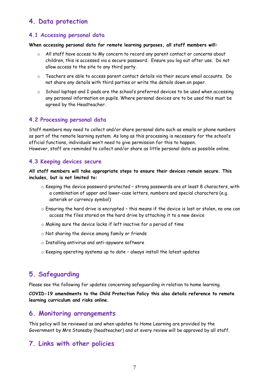# **4. Data protection**

# **4.1 Accessing personal data**

#### **When accessing personal data for remote learning purposes, all staff members will:**

- $\circ$  All staff have access to My concern to record any parent contact or concerns about children, this is accessed via a secure password. Ensure you log out after use. Do not allow access to the site to any third party.
- $\circ$  Teachers are able to access parent contact details via their secure email accounts. Do not share any details with third parties or write the details down on paper.
- $\circ$  School laptops and I-pads are the school's preferred devices to be used when accessing any personal information on pupils. Where personal devices are to be used this must be agreed by the Headteacher.

# **4.2 Processing personal data**

Staff members may need to collect and/or share personal data such as emails or phone numbers as part of the remote learning system. As long as this processing is necessary for the school's official functions, individuals won't need to give permission for this to happen. However, staff are reminded to collect and/or share as little personal data as possible online.

# **4.3 Keeping devices secure**

**All staff members will take appropriate steps to ensure their devices remain secure. This includes, but is not limited to:**

- o Keeping the device password-protected strong passwords are at least 8 characters, with a combination of upper and lower-case letters, numbers and special characters (e.g. asterisk or currency symbol)
- $\circ$  Ensuring the hard drive is encrypted this means if the device is lost or stolen, no one can access the files stored on the hard drive by attaching it to a new device
- o Making sure the device locks if left inactive for a period of time
- o Not sharing the device among family or friends
- o Installing antivirus and anti-spyware software
- o Keeping operating systems up to date always install the latest updates

# **5. Safeguarding**

Please see the following for updates concerning safeguarding in relation to home learning.

**COVID-19 amendments to the Child Protection Policy this also details reference to remote learning curriculum and risks online.** 

# **6. Monitoring arrangements**

This policy will be reviewed as and when updates to Home Learning are provided by the Government by Mrs Stanesby (headteacher) and at every review will be approved by all staff.

# **7. Links with other policies**